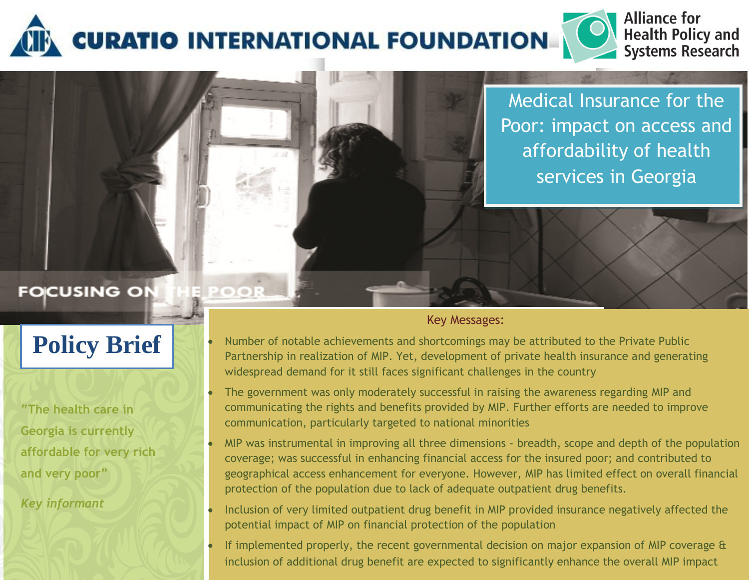

POOR

Medical Insurance for the Poor: impact on access and affordability of health services in Georgia

**Alliance for** 

**Health Policy and<br>Systems Research** 

# **FOCUSING ON**

# **Policy Brief**

**"The health care in Georgia is currently affordable for very rich and very poor"**

*Key informant*

# Key Messages:

- Number of notable achievements and shortcomings may be attributed to the Private Public Partnership in realization of MIP. Yet, development of private health insurance and generating widespread demand for it still faces significant challenges in the country
- The government was only moderately successful in raising the awareness regarding MIP and communicating the rights and benefits provided by MIP. Further efforts are needed to improve communication, particularly targeted to national minorities
- MIP was instrumental in improving all three dimensions breadth, scope and depth of the population coverage; was successful in enhancing financial access for the insured poor; and contributed to geographical access enhancement for everyone. However, MIP has limited effect on overall financial protection of the population due to lack of adequate outpatient drug benefits.
- Inclusion of very limited outpatient drug benefit in MIP provided insurance negatively affected the potential impact of MIP on financial protection of the population
- If implemented properly, the recent governmental decision on major expansion of MIP coverage & inclusion of additional drug benefit are expected to significantly enhance the overall MIP impact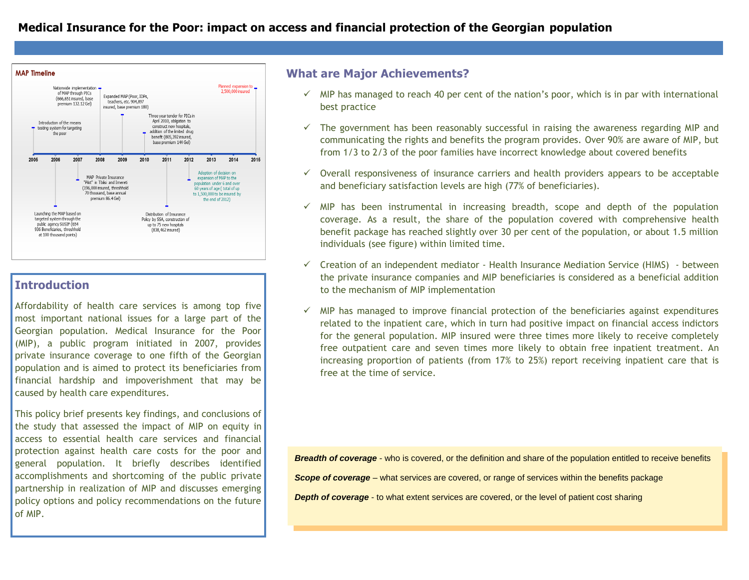

# **Introduction**

Affordability of health care services is among top five most important national issues for a large part of the Georgian population. Medical Insurance for the Poor (MIP), a public program initiated in 2007, provides private insurance coverage to one fifth of the Georgian population and is aimed to protect its beneficiaries from financial hardship and impoverishment that may be caused by health care expenditures.

This policy brief presents key findings, and conclusions of the study that assessed the impact of MIP on equity in access to essential health care services and financial protection against health care costs for the poor and general population. It briefly describes identified accomplishments and shortcoming of the public private partnership in realization of MIP and discusses emerging policy options and policy recommendations on the future of MIP.

# **What are Major Achievements?**

- $\checkmark$  MIP has managed to reach 40 per cent of the nation's poor, which is in par with international best practice
- $\checkmark$  The government has been reasonably successful in raising the awareness regarding MIP and communicating the rights and benefits the program provides. Over 90% are aware of MIP, but from 1/3 to 2/3 of the poor families have incorrect knowledge about covered benefits
- $\checkmark$  Overall responsiveness of insurance carriers and health providers appears to be acceptable and beneficiary satisfaction levels are high (77% of beneficiaries).
- $\checkmark$  MIP has been instrumental in increasing breadth, scope and depth of the population coverage. As a result, the share of the population covered with comprehensive health benefit package has reached slightly over 30 per cent of the population, or about 1.5 million individuals (see figure) within limited time.
- $\checkmark$  Creation of an independent mediator Health Insurance Mediation Service (HIMS) between the private insurance companies and MIP beneficiaries is considered as a beneficial addition to the mechanism of MIP implementation
- $\checkmark$  MIP has managed to improve financial protection of the beneficiaries against expenditures related to the inpatient care, which in turn had positive impact on financial access indictors for the general population. MIP insured were three times more likely to receive completely free outpatient care and seven times more likely to obtain free inpatient treatment. An increasing proportion of patients (from 17% to 25%) report receiving inpatient care that is free at the time of service.

*Breadth of coverage* - who is covered, or the definition and share of the population entitled to receive benefits *Scope of coverage* – what services are covered, or range of services within the benefits package **Depth of coverage** - to what extent services are covered, or the level of patient cost sharing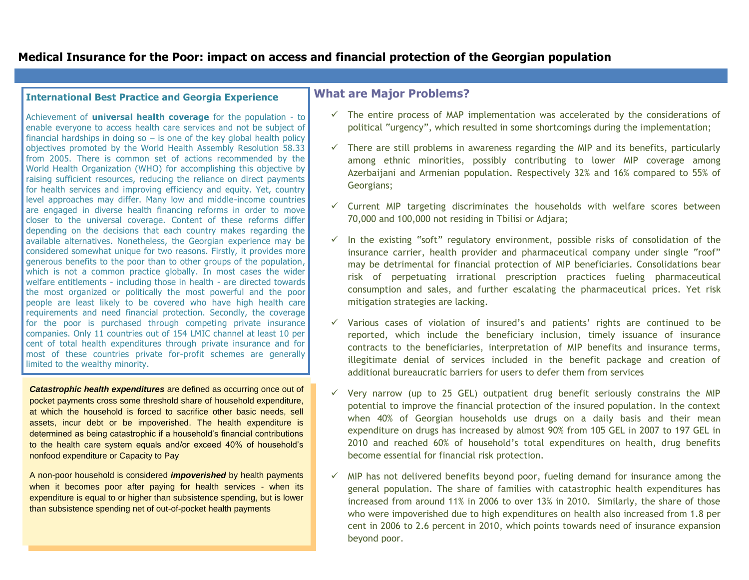# **Medical Insurance for the Poor: impact on access and financial protection of the Georgian population**

#### **International Best Practice and Georgia Experience**

Achievement of **universal health coverage** for the population - to enable everyone to access health care services and not be subject of financial hardships in doing  $so - is$  one of the key global health policy objectives promoted by the World Health Assembly Resolution 58.33 from 2005. There is common set of actions recommended by the World Health Organization (WHO) for accomplishing this objective by raising sufficient resources, reducing the reliance on direct payments for health services and improving efficiency and equity. Yet, country level approaches may differ. Many low and middle-income countries are engaged in diverse health financing reforms in order to move closer to the universal coverage. Content of these reforms differ depending on the decisions that each country makes regarding the available alternatives. Nonetheless, the Georgian experience may be considered somewhat unique for two reasons. Firstly, it provides more generous benefits to the poor than to other groups of the population, which is not a common practice globally. In most cases the wider welfare entitlements - including those in health - are directed towards the most organized or politically the most powerful and the poor people are least likely to be covered who have high health care requirements and need financial protection. Secondly, the coverage for the poor is purchased through competing private insurance companies. Only 11 countries out of 154 LMIC channel at least 10 per cent of total health expenditures through private insurance and for most of these countries private for-profit schemes are generally limited to the wealthy minority.

*Catastrophic health expenditures* are defined as occurring once out of pocket payments cross some threshold share of household expenditure, at which the household is forced to sacrifice other basic needs, sell assets, incur debt or be impoverished. The health expenditure is determined as being catastrophic if a household's financial contributions to the health care system equals and/or exceed 40% of household's nonfood expenditure or Capacity to Pay

A non-poor household is considered *impoverished* by health payments when it becomes poor after paying for health services - when its expenditure is equal to or higher than subsistence spending, but is lower than subsistence spending net of out-of-pocket health payments

#### **What are Major Problems?**

- $\checkmark$  The entire process of MAP implementation was accelerated by the considerations of political "urgency", which resulted in some shortcomings during the implementation;
- $\checkmark$  There are still problems in awareness regarding the MIP and its benefits, particularly among ethnic minorities, possibly contributing to lower MIP coverage among Azerbaijani and Armenian population. Respectively 32% and 16% compared to 55% of Georgians;
- $\checkmark$  Current MIP targeting discriminates the households with welfare scores between 70,000 and 100,000 not residing in Tbilisi or Adjara;
- $\checkmark$  In the existing "soft" regulatory environment, possible risks of consolidation of the insurance carrier, health provider and pharmaceutical company under single "roof" may be detrimental for financial protection of MIP beneficiaries. Consolidations bear risk of perpetuating irrational prescription practices fueling pharmaceutical consumption and sales, and further escalating the pharmaceutical prices. Yet risk mitigation strategies are lacking.
- $\checkmark$  Various cases of violation of insured's and patients' rights are continued to be reported, which include the beneficiary inclusion, timely issuance of insurance contracts to the beneficiaries, interpretation of MIP benefits and insurance terms, illegitimate denial of services included in the benefit package and creation of additional bureaucratic barriers for users to defer them from services
- $\checkmark$  Very narrow (up to 25 GEL) outpatient drug benefit seriously constrains the MIP potential to improve the financial protection of the insured population. In the context when 40% of Georgian households use drugs on a daily basis and their mean expenditure on drugs has increased by almost 90% from 105 GEL in 2007 to 197 GEL in 2010 and reached 60% of household's total expenditures on health, drug benefits become essential for financial risk protection.
- $\checkmark$  MIP has not delivered benefits beyond poor, fueling demand for insurance among the general population. The share of families with catastrophic health expenditures has increased from around 11% in 2006 to over 13% in 2010. Similarly, the share of those who were impoverished due to high expenditures on health also increased from 1.8 per cent in 2006 to 2.6 percent in 2010, which points towards need of insurance expansion beyond poor.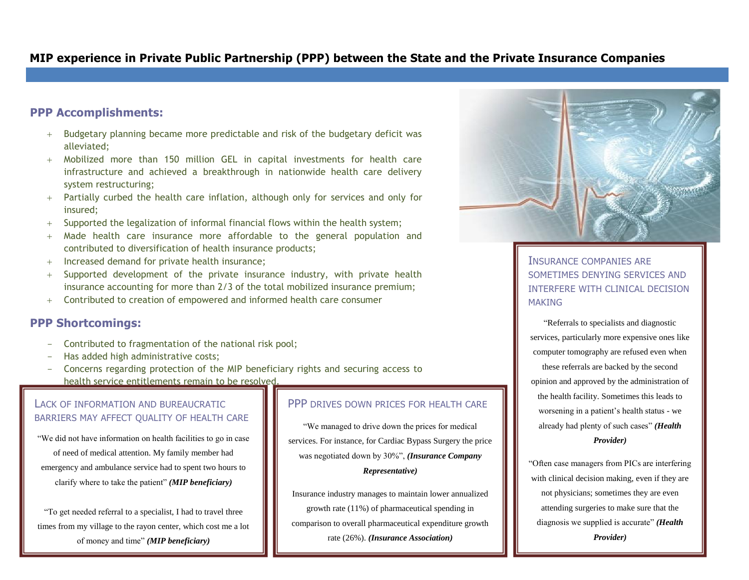# **MIP experience in Private Public Partnership (PPP) between the State and the Private Insurance Companies**

#### **PPP Accomplishments:**

- Budgetary planning became more predictable and risk of the budgetary deficit was alleviated;
- Mobilized more than 150 million GEL in capital investments for health care infrastructure and achieved a breakthrough in nationwide health care delivery system restructuring;
- Partially curbed the health care inflation, although only for services and only for insured;
- Supported the legalization of informal financial flows within the health system;
- Made health care insurance more affordable to the general population and contributed to diversification of health insurance products;
- $+$  Increased demand for private health insurance;
- Supported development of the private insurance industry, with private health insurance accounting for more than 2/3 of the total mobilized insurance premium;
- Contributed to creation of empowered and informed health care consumer

#### **PPP Shortcomings:**

- Contributed to fragmentation of the national risk pool;
- Has added high administrative costs;
- Concerns regarding protection of the MIP beneficiary rights and securing access to health service entitlements remain to be resolved.

#### LACK OF INFORMATION AND BUREAUCRATIC BARRIERS MAY AFFECT QUALITY OF HEALTH CARE

"We did not have information on health facilities to go in case of need of medical attention. My family member had emergency and ambulance service had to spent two hours to clarify where to take the patient" *(MIP beneficiary)*

"To get needed referral to a specialist, I had to travel three times from my village to the rayon center, which cost me a lot of money and time" *(MIP beneficiary)*

#### PPP DRIVES DOWN PRICES FOR HEALTH CARE

"We managed to drive down the prices for medical services. For instance, for Cardiac Bypass Surgery the price was negotiated down by 30%", *(Insurance Company Representative)* 

Insurance industry manages to maintain lower annualized growth rate (11%) of pharmaceutical spending in comparison to overall pharmaceutical expenditure growth rate (26%). *(Insurance Association)*



#### INSURANCE COMPANIES ARE SOMETIMES DENYING SERVICES AND INTERFERE WITH CLINICAL DECISION **MAKING**

"Referrals to specialists and diagnostic services, particularly more expensive ones like computer tomography are refused even when these referrals are backed by the second opinion and approved by the administration of the health facility. Sometimes this leads to worsening in a patient's health status - we already had plenty of such cases" *(Health Provider)*

"Often case managers from PICs are interfering with clinical decision making, even if they are not physicians; sometimes they are even attending surgeries to make sure that the diagnosis we supplied is accurate" *(Health Provider)*